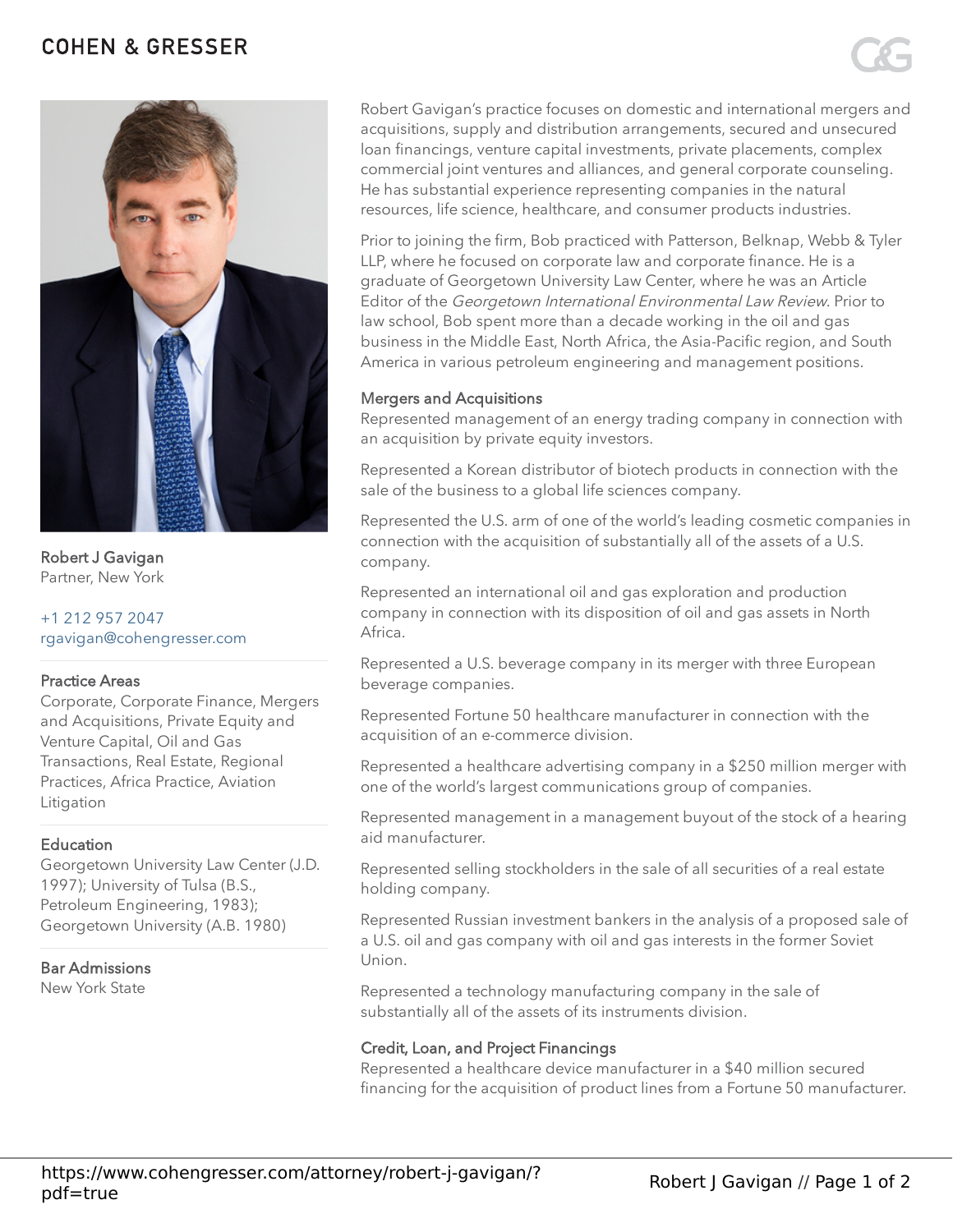# **COHEN & GRESSER**



Robert J Gavigan Partner, New York

## [+1 212 957 2047](tel:+12129572047) [rgavigan@cohengresser.com](mailto:rgavigan@cohengresser.com)

## Practice Areas

Corporate, Corporate Finance, Mergers and Acquisitions, Private Equity and Venture Capital, Oil and Gas Transactions, Real Estate, Regional Practices, Africa Practice, Aviation Litigation

## **Education**

Georgetown University Law Center (J.D. 1997); University of Tulsa (B.S., Petroleum Engineering, 1983); Georgetown University (A.B. 1980)

## Bar Admissions

New York State

Robert Gavigan's practice focuses on domestic and international mergers and acquisitions, supply and distribution arrangements, secured and unsecured loan financings, venture capital investments, private placements, complex commercial joint ventures and alliances, and general corporate counseling. He has substantial experience representing companies in the natural resources, life science, healthcare, and consumer products industries.

Prior to joining the firm, Bob practiced with Patterson, Belknap, Webb & Tyler LLP, where he focused on corporate law and corporate finance. He is a graduate of Georgetown University Law Center, where he was an Article Editor of the Georgetown International Environmental Law Review. Prior to law school, Bob spent more than a decade working in the oil and gas business in the Middle East, North Africa, the Asia-Pacific region, and South America in various petroleum engineering and management positions.

## Mergers and Acquisitions

Represented management of an energy trading company in connection with an acquisition by private equity investors.

Represented a Korean distributor of biotech products in connection with the sale of the business to a global life sciences company.

Represented the U.S. arm of one of the world's leading cosmetic companies in connection with the acquisition of substantially all of the assets of a U.S. company.

Represented an international oil and gas exploration and production company in connection with its disposition of oil and gas assets in North Africa.

Represented a U.S. beverage company in its merger with three European beverage companies.

Represented Fortune 50 healthcare manufacturer in connection with the acquisition of an e-commerce division.

Represented a healthcare advertising company in a \$250 million merger with one of the world's largest communications group of companies.

Represented management in a management buyout of the stock of a hearing aid manufacturer.

Represented selling stockholders in the sale of all securities of a real estate holding company.

Represented Russian investment bankers in the analysis of a proposed sale of a U.S. oil and gas company with oil and gas interests in the former Soviet Union.

Represented a technology manufacturing company in the sale of substantially all of the assets of its instruments division.

## Credit, Loan, and Project Financings

Represented a healthcare device manufacturer in a \$40 million secured financing for the acquisition of product lines from a Fortune 50 manufacturer.